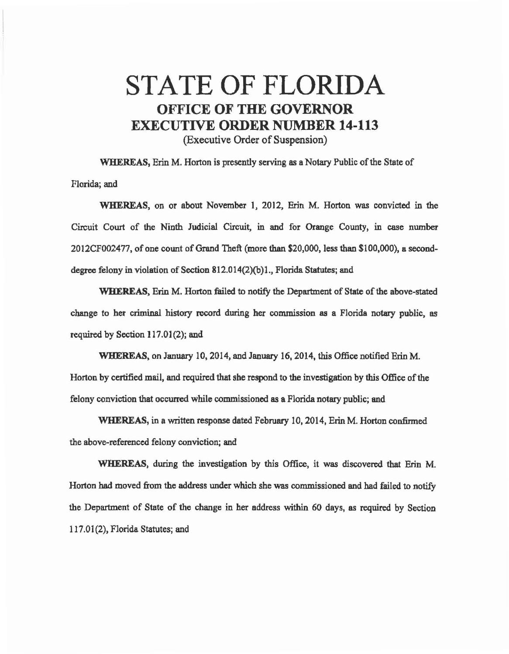## STATE OF FLORIDA OFFICE OF THE GOVERNOR EXECUTIVE ORDER NUMBER 14-113 (Executive Order of Suspension)

WHEREAS, Erin M. Horton is presently serving as a Notary Public of the State of Florida; and

WHEREAS, on or about November 1, 2012, Erin M. Horton was convicted in the Circuit Court of the Ninth Judicial Circuit, in and for Orange County, in case number 2012CF002477, of one count of Grand Theft (more than \$20,000, less than \$100,000), a seconddegree felony in violation of Section 812.014(2)(b)l., Florida Statutes; and

WHEREAS, Erin M. Horton failed to notify the Department of State of the above-stated change to her criminal history record during her commission as a Florida notary public, es required by Section 117.01(2); and

WHEREAS, on January 10, 2014, and January 16, 2014, this Office notified Erin M. Horton by certified mail, and required that she respond to the investigation by this Office of the felony conviction that occurred while commissioned as a Florida notary public; and

WHEREAS, in a written response dated February 10, 2014, Erin M. Horton confirmed the above-referenced felony conviction; and

WHEREAS, during the investigation by this Office, it was discovered that Erin M. Horton had moved from the address under which she was commissioned and had failed to notify the Department of State of the change in her address within 60 days, as required by Section 117.01(2), Florida Statutes; and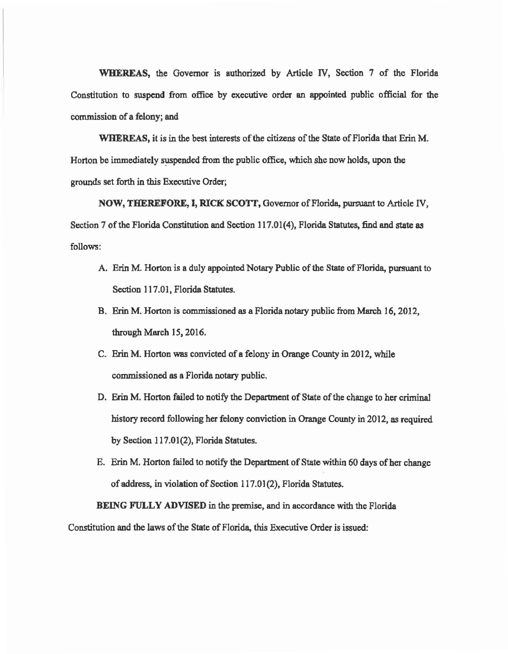WHEREAS, the Governor is authorized by Article IV, Section 7 of the Florida Constitution to suspend from office by executive order an appointed public official for the commission of a felony; and

WHEREAS, it is in the best interests of the citizens of the State of Florida that Erin M. Horton be immediately suspended from the public office, which she now holds, upon the grounds set forth in this Executive Order;

NOW, THEREFORE, I, RICK SCOTT, Governor of Florida, pursuant to Article IV, Section 7 of the Florida Constitution and Section l 17.01(4), Florida Statutes, find and state as follows:

- A. Erin M. Horton is a duly appointed Notary Public of the State of Florida, pursuant to Section 117.01, Florida Statutes.
- B. Erin M. Horton is commissioned as a Florida notary public from March 16, 2012, through March 15, 2016.
- C. Erin M. Horton was convicted of a felony in Orange County in 2012, while commissioned as a Florida notary public.
- D. Erin M. Horton failed to notify the Department of State of the change to her criminal history record following her felony conviction in Orange County in 2012, as required by Section 117.01(2), Florida Statutes.
- E. Erin M. Horton failed to notify the Department of State within 60 days of her change of address, in violation of Section 117.01 (2), Florida Statutes.

BEING FULLY ADVISED in the premise, and in accordance with the Florida Constitution and the laws of the State of Florida, this Executive Order is issued: